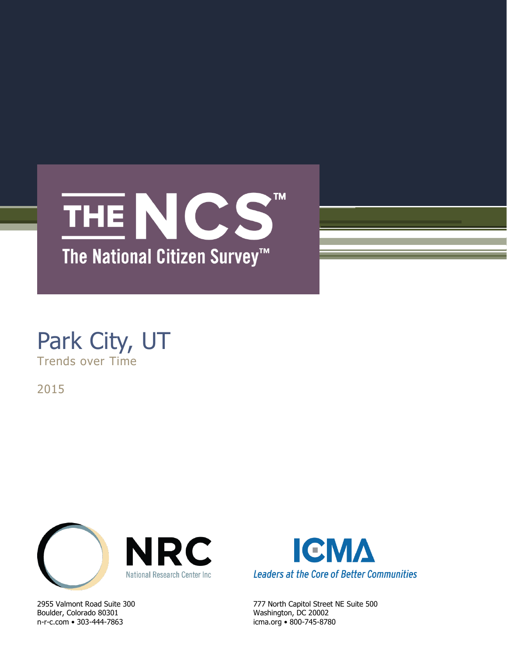

# Park City, UT Trends over Time

2015



Boulder, Colorado 80301 Washington, DC 20002 n-r-c.com • 303-444-7863 icma.org • 800-745-8780



2955 Valmont Road Suite 300 777 North Capitol Street NE Suite 500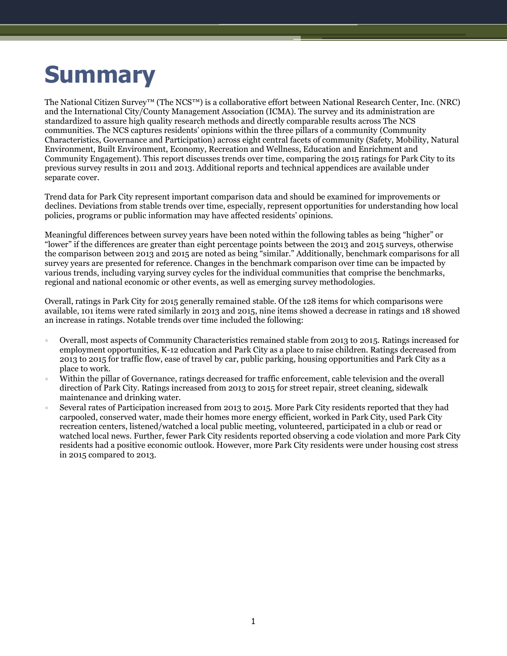# **Summary**

The National Citizen Survey™ (The NCS™) is a collaborative effort between National Research Center, Inc. (NRC) and the International City/County Management Association (ICMA). The survey and its administration are standardized to assure high quality research methods and directly comparable results across The NCS communities. The NCS captures residents' opinions within the three pillars of a community (Community Characteristics, Governance and Participation) across eight central facets of community (Safety, Mobility, Natural Environment, Built Environment, Economy, Recreation and Wellness, Education and Enrichment and Community Engagement). This report discusses trends over time, comparing the 2015 ratings for Park City to its previous survey results in 2011 and 2013. Additional reports and technical appendices are available under separate cover.

Trend data for Park City represent important comparison data and should be examined for improvements or declines. Deviations from stable trends over time, especially, represent opportunities for understanding how local policies, programs or public information may have affected residents' opinions.

Meaningful differences between survey years have been noted within the following tables as being "higher" or "lower" if the differences are greater than eight percentage points between the 2013 and 2015 surveys, otherwise the comparison between 2013 and 2015 are noted as being "similar." Additionally, benchmark comparisons for all survey years are presented for reference. Changes in the benchmark comparison over time can be impacted by various trends, including varying survey cycles for the individual communities that comprise the benchmarks, regional and national economic or other events, as well as emerging survey methodologies.

Overall, ratings in Park City for 2015 generally remained stable. Of the 128 items for which comparisons were available, 101 items were rated similarly in 2013 and 2015, nine items showed a decrease in ratings and 18 showed an increase in ratings. Notable trends over time included the following:

- Overall, most aspects of Community Characteristics remained stable from 2013 to 2015. Ratings increased for employment opportunities, K-12 education and Park City as a place to raise children. Ratings decreased from 2013 to 2015 for traffic flow, ease of travel by car, public parking, housing opportunities and Park City as a place to work.
- Within the pillar of Governance, ratings decreased for traffic enforcement, cable television and the overall direction of Park City. Ratings increased from 2013 to 2015 for street repair, street cleaning, sidewalk maintenance and drinking water.
- Several rates of Participation increased from 2013 to 2015. More Park City residents reported that they had carpooled, conserved water, made their homes more energy efficient, worked in Park City, used Park City recreation centers, listened/watched a local public meeting, volunteered, participated in a club or read or watched local news. Further, fewer Park City residents reported observing a code violation and more Park City residents had a positive economic outlook. However, more Park City residents were under housing cost stress in 2015 compared to 2013.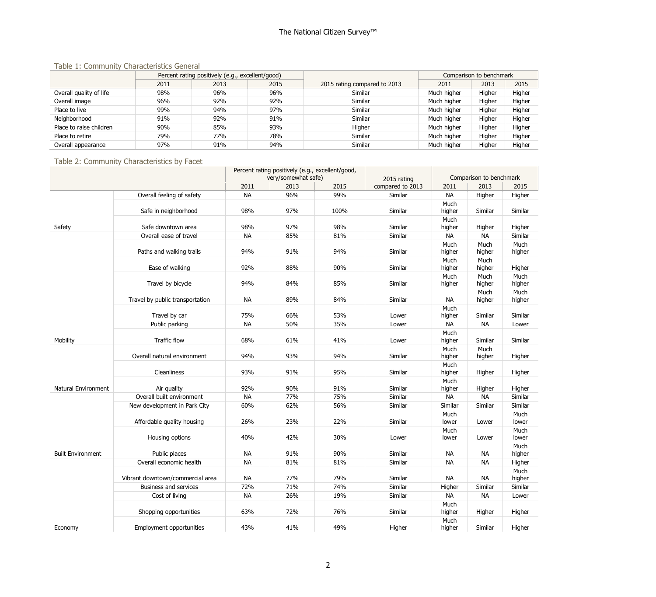#### Table 1: Community Characteristics General

|                         |      | Percent rating positively (e.g., excellent/good) |      |                              | Comparison to benchmark |        |        |
|-------------------------|------|--------------------------------------------------|------|------------------------------|-------------------------|--------|--------|
|                         | 2011 | 2013                                             | 2015 | 2015 rating compared to 2013 | 2011                    | 2013   | 2015   |
| Overall quality of life | 98%  | 96%                                              | 96%  | Similar                      | Much higher             | Higher | Higher |
| Overall image           | 96%  | 92%                                              | 92%  | Similar                      | Much higher             | Higher | Higher |
| Place to live           | 99%  | 94%                                              | 97%  | Similar                      | Much higher             | Higher | Higher |
| Neighborhood            | 91%  | 92%                                              | 91%  | Similar                      | Much higher             | Higher | Higher |
| Place to raise children | 90%  | 85%                                              | 93%  | Higher                       | Much higher             | Higher | Higher |
| Place to retire         | 79%  | 77%                                              | 78%  | Similar                      | Much higher             | Higher | Higher |
| Overall appearance      | 97%  | 91%                                              | 94%  | Similar                      | Much higher             | Higher | Higher |

#### Table 2: Community Characteristics by Facet

|                          |                                  | Percent rating positively (e.g., excellent/good, |                     |      |                  |                |                         |                |
|--------------------------|----------------------------------|--------------------------------------------------|---------------------|------|------------------|----------------|-------------------------|----------------|
|                          |                                  |                                                  | very/somewhat safe) |      | 2015 rating      |                | Comparison to benchmark |                |
|                          |                                  | 2011                                             | 2013                | 2015 | compared to 2013 | 2011           | 2013                    | 2015           |
|                          | Overall feeling of safety        | <b>NA</b>                                        | 96%                 | 99%  | Similar          | <b>NA</b>      | Higher                  | Higher         |
|                          | Safe in neighborhood             | 98%                                              | 97%                 | 100% | Similar          | Much<br>higher | Similar                 | Similar        |
| Safety                   | Safe downtown area               | 98%                                              | 97%                 | 98%  | Similar          | Much<br>higher | Higher                  | Higher         |
|                          | Overall ease of travel           | <b>NA</b>                                        | 85%                 | 81%  | Similar          | <b>NA</b>      | <b>NA</b>               | Similar        |
|                          | Paths and walking trails         | 94%                                              | 91%                 | 94%  | Similar          | Much<br>higher | Much<br>higher          | Much<br>higher |
|                          | Ease of walking                  | 92%                                              | 88%                 | 90%  | Similar          | Much<br>higher | Much<br>higher          | Higher         |
|                          | Travel by bicycle                | 94%                                              | 84%                 | 85%  | Similar          | Much<br>higher | Much<br>higher          | Much<br>higher |
|                          | Travel by public transportation  | <b>NA</b>                                        | 89%                 | 84%  | Similar          | NA             | Much<br>higher          | Much<br>higher |
|                          | Travel by car                    | 75%                                              | 66%                 | 53%  | Lower            | Much<br>higher | Similar                 | Similar        |
|                          | Public parking                   | <b>NA</b>                                        | 50%                 | 35%  | Lower            | <b>NA</b>      | <b>NA</b>               | Lower          |
| Mobility                 | Traffic flow                     | 68%                                              | 61%                 | 41%  | Lower            | Much<br>higher | Similar                 | Similar        |
|                          | Overall natural environment      | 94%                                              | 93%                 | 94%  | Similar          | Much<br>higher | Much<br>higher          | Higher         |
|                          | Cleanliness                      | 93%                                              | 91%                 | 95%  | Similar          | Much<br>higher | Higher                  | Higher         |
| Natural Environment      | Air quality                      | 92%                                              | 90%                 | 91%  | Similar          | Much<br>higher | Higher                  | Higher         |
|                          | Overall built environment        | <b>NA</b>                                        | 77%                 | 75%  | Similar          | <b>NA</b>      | <b>NA</b>               | Similar        |
|                          | New development in Park City     | 60%                                              | 62%                 | 56%  | Similar          | Similar        | Similar                 | Similar        |
|                          | Affordable quality housing       | 26%                                              | 23%                 | 22%  | Similar          | Much<br>lower  | Lower                   | Much<br>lower  |
|                          | Housing options                  | 40%                                              | 42%                 | 30%  | Lower            | Much<br>lower  | Lower                   | Much<br>lower  |
| <b>Built Environment</b> | Public places                    | <b>NA</b>                                        | 91%                 | 90%  | Similar          | <b>NA</b>      | <b>NA</b>               | Much<br>higher |
|                          | Overall economic health          | <b>NA</b>                                        | 81%                 | 81%  | Similar          | <b>NA</b>      | <b>NA</b>               | Higher         |
|                          | Vibrant downtown/commercial area | <b>NA</b>                                        | 77%                 | 79%  | Similar          | NА             | NА                      | Much<br>higher |
|                          | <b>Business and services</b>     | 72%                                              | 71%                 | 74%  | Similar          | Higher         | Similar                 | Similar        |
|                          | Cost of living                   | <b>NA</b>                                        | 26%                 | 19%  | Similar          | <b>NA</b>      | <b>NA</b>               | Lower          |
|                          | Shopping opportunities           | 63%                                              | 72%                 | 76%  | Similar          | Much<br>higher | Higher                  | Higher         |
| Economy                  | <b>Employment opportunities</b>  | 43%                                              | 41%                 | 49%  | Higher           | Much<br>higher | Similar                 | Higher         |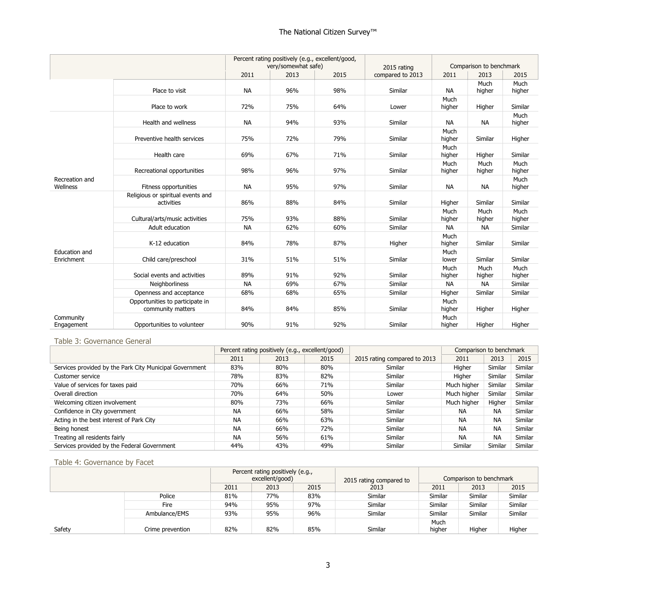|                             |                                                      | Percent rating positively (e.g., excellent/good,<br>very/somewhat safe) |      | 2015 rating | Comparison to benchmark |                |                |                |
|-----------------------------|------------------------------------------------------|-------------------------------------------------------------------------|------|-------------|-------------------------|----------------|----------------|----------------|
|                             |                                                      | 2011                                                                    | 2013 | 2015        | compared to 2013        | 2011           | 2013           | 2015           |
|                             | Place to visit                                       | <b>NA</b>                                                               | 96%  | 98%         | Similar                 | <b>NA</b>      | Much<br>higher | Much<br>higher |
|                             | Place to work                                        | 72%                                                                     | 75%  | 64%         | Lower                   | Much<br>higher | Higher         | Similar        |
|                             | Health and wellness                                  | <b>NA</b>                                                               | 94%  | 93%         | Similar                 | <b>NA</b>      | NА             | Much<br>higher |
|                             | Preventive health services                           | 75%                                                                     | 72%  | 79%         | Similar                 | Much<br>higher | Similar        | Higher         |
|                             | Health care                                          | 69%                                                                     | 67%  | 71%         | Similar                 | Much<br>higher | Higher         | Similar        |
|                             | Recreational opportunities                           | 98%                                                                     | 96%  | 97%         | Similar                 | Much<br>higher | Much<br>higher | Much<br>higher |
| Recreation and<br>Wellness  | Fitness opportunities                                | <b>NA</b>                                                               | 95%  | 97%         | Similar                 | <b>NA</b>      | <b>NA</b>      | Much<br>higher |
|                             | Religious or spiritual events and<br>activities      | 86%                                                                     | 88%  | 84%         | Similar                 | Higher         | Similar        | Similar        |
|                             | Cultural/arts/music activities                       | 75%                                                                     | 93%  | 88%         | Similar                 | Much<br>higher | Much<br>higher | Much<br>higher |
|                             | Adult education                                      | <b>NA</b>                                                               | 62%  | 60%         | Similar                 | <b>NA</b>      | <b>NA</b>      | Similar        |
|                             | K-12 education                                       | 84%                                                                     | 78%  | 87%         | Higher                  | Much<br>higher | Similar        | Similar        |
| Education and<br>Enrichment | Child care/preschool                                 | 31%                                                                     | 51%  | 51%         | Similar                 | Much<br>lower  | Similar        | Similar        |
|                             | Social events and activities                         | 89%                                                                     | 91%  | 92%         | Similar                 | Much<br>higher | Much<br>higher | Much<br>higher |
|                             | <b>Neighborliness</b>                                | <b>NA</b>                                                               | 69%  | 67%         | Similar                 | <b>NA</b>      | <b>NA</b>      | Similar        |
|                             | Openness and acceptance                              | 68%                                                                     | 68%  | 65%         | Similar                 | Higher         | Similar        | Similar        |
|                             | Opportunities to participate in<br>community matters | 84%                                                                     | 84%  | 85%         | Similar                 | Much<br>higher | Higher         | Higher         |
| Community<br>Engagement     | Opportunities to volunteer                           | 90%                                                                     | 91%  | 92%         | Similar                 | Much<br>higher | Higher         | Higher         |

#### Table 3: Governance General

|                                                         |           | Percent rating positively (e.g., excellent/good) |      |                              | Comparison to benchmark |           |         |
|---------------------------------------------------------|-----------|--------------------------------------------------|------|------------------------------|-------------------------|-----------|---------|
|                                                         | 2011      | 2013                                             | 2015 | 2015 rating compared to 2013 | 2011                    | 2013      | 2015    |
| Services provided by the Park City Municipal Government | 83%       | 80%                                              | 80%  | Similar                      | Higher                  | Similar   | Similar |
| Customer service                                        | 78%       | 83%                                              | 82%  | Similar                      | Higher                  | Similar   | Similar |
| Value of services for taxes paid                        | 70%       | 66%                                              | 71%  | Similar                      | Much higher             | Similar   | Similar |
| Overall direction                                       | 70%       | 64%                                              | 50%  | Lower                        | Much higher             | Similar   | Similar |
| Welcoming citizen involvement                           | 80%       | 73%                                              | 66%  | Similar                      | Much higher             | Higher    | Similar |
| Confidence in City government                           | <b>NA</b> | 66%                                              | 58%  | Similar                      | <b>NA</b>               | <b>NA</b> | Similar |
| Acting in the best interest of Park City                | <b>NA</b> | 66%                                              | 63%  | Similar                      | <b>NA</b>               | <b>NA</b> | Similar |
| Being honest                                            | <b>NA</b> | 66%                                              | 72%  | Similar                      | <b>NA</b>               | <b>NA</b> | Similar |
| Treating all residents fairly                           | <b>NA</b> | 56%                                              | 61%  | <b>Similar</b>               | <b>NA</b>               | <b>NA</b> | Similar |
| Services provided by the Federal Government             | 44%       | 43%                                              | 49%  | Similar                      | Similar                 | Similar   | Similar |

#### Table 4: Governance by Facet

|        |                  |      | Percent rating positively (e.g.,<br>excellent/good) |      | 2015 rating compared to | Comparison to benchmark |         |         |  |
|--------|------------------|------|-----------------------------------------------------|------|-------------------------|-------------------------|---------|---------|--|
|        |                  | 2011 | 2013                                                | 2015 | 2013                    | 2011                    | 2013    | 2015    |  |
|        | Police           | 81%  | 77%                                                 | 83%  | Similar                 | Similar                 | Similar | Similar |  |
|        | Fire             | 94%  | 95%                                                 | 97%  | Similar                 | Similar                 | Similar | Similar |  |
|        | Ambulance/EMS    | 93%  | 95%                                                 | 96%  | Similar                 | Similar                 | Similar | Similar |  |
| Safety | Crime prevention | 82%  | 82%                                                 | 85%  | Similar                 | Much<br>higher          | Higher  | Higher  |  |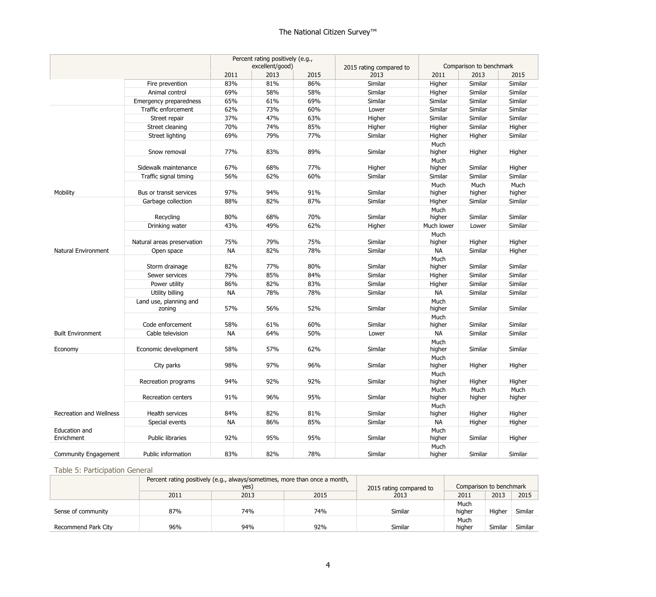|                             |                            | Percent rating positively (e.g.,<br>excellent/good) |      |      | 2015 rating compared to |                     | Comparison to benchmark |                |  |
|-----------------------------|----------------------------|-----------------------------------------------------|------|------|-------------------------|---------------------|-------------------------|----------------|--|
|                             |                            | 2011                                                | 2013 | 2015 | 2013                    | 2011                | 2013                    | 2015           |  |
|                             | Fire prevention            | 83%                                                 | 81%  | 86%  | Similar                 | Higher              | Similar                 | Similar        |  |
|                             | Animal control             | 69%                                                 | 58%  | 58%  | Similar                 | Higher              | Similar                 | Similar        |  |
|                             | Emergency preparedness     | 65%                                                 | 61%  | 69%  | Similar                 | Similar             | Similar                 | Similar        |  |
|                             | Traffic enforcement        | 62%                                                 | 73%  | 60%  | Lower                   | Similar             | Similar                 | Similar        |  |
|                             | Street repair              | 37%                                                 | 47%  | 63%  | Higher                  | Similar             | Similar                 | Similar        |  |
|                             | Street cleaning            | 70%                                                 | 74%  | 85%  | Higher                  | Higher              | Similar                 | Higher         |  |
|                             | Street lighting            | 69%                                                 | 79%  | 77%  | Similar                 | Higher              | Higher                  | Similar        |  |
|                             | Snow removal               | 77%                                                 | 83%  | 89%  | Similar                 | Much<br>higher      | Higher                  | Higher         |  |
|                             | Sidewalk maintenance       | 67%                                                 | 68%  | 77%  | Higher                  | Much<br>higher      | Similar                 | Higher         |  |
|                             | Traffic signal timing      | 56%                                                 | 62%  | 60%  | Similar                 | Similar             | Similar                 | Similar        |  |
|                             |                            |                                                     |      |      |                         | Much                | Much                    | Much           |  |
| Mobility                    | Bus or transit services    | 97%                                                 | 94%  | 91%  | Similar                 | higher              | higher                  | higher         |  |
|                             | Garbage collection         | 88%                                                 | 82%  | 87%  | Similar                 | Higher              | Similar                 | Similar        |  |
|                             |                            |                                                     |      |      |                         | Much                |                         |                |  |
|                             | Recycling                  | 80%                                                 | 68%  | 70%  | Similar                 | higher              | Similar                 | Similar        |  |
|                             | Drinking water             | 43%                                                 | 49%  | 62%  | Higher                  | Much lower          | Lower                   | Similar        |  |
|                             | Natural areas preservation | 75%                                                 | 79%  | 75%  | Similar                 | Much                |                         |                |  |
| Natural Environment         |                            | <b>NA</b>                                           | 82%  | 78%  | Similar                 | higher<br><b>NA</b> | Higher<br>Similar       | Higher         |  |
|                             | Open space                 |                                                     |      |      |                         | Much                |                         | Higher         |  |
|                             | Storm drainage             | 82%                                                 | 77%  | 80%  | Similar                 | higher              | Similar                 | Similar        |  |
|                             | Sewer services             | 79%                                                 | 85%  | 84%  | Similar                 | Higher              | Similar                 | Similar        |  |
|                             | Power utility              | 86%                                                 | 82%  | 83%  | Similar                 | Higher              | Similar                 | Similar        |  |
|                             | Utility billing            | <b>NA</b>                                           | 78%  | 78%  | Similar                 | <b>NA</b>           | Similar                 | Similar        |  |
|                             | Land use, planning and     |                                                     |      |      |                         | Much                |                         |                |  |
|                             | zoning                     | 57%                                                 | 56%  | 52%  | Similar                 | higher              | Similar                 | Similar        |  |
|                             |                            |                                                     |      |      |                         | Much                |                         |                |  |
|                             | Code enforcement           | 58%                                                 | 61%  | 60%  | Similar                 | higher              | Similar                 | Similar        |  |
| <b>Built Environment</b>    | Cable television           | <b>NA</b>                                           | 64%  | 50%  | Lower                   | <b>NA</b>           | Similar                 | Similar        |  |
| Economy                     | Economic development       | 58%                                                 | 57%  | 62%  | Similar                 | Much<br>higher      | Similar                 | Similar        |  |
|                             | City parks                 | 98%                                                 | 97%  | 96%  | Similar                 | Much<br>higher      | Higher                  | Higher         |  |
|                             | Recreation programs        | 94%                                                 | 92%  | 92%  | Similar                 | Much<br>higher      | Higher                  | Higher         |  |
|                             | Recreation centers         | 91%                                                 | 96%  | 95%  | Similar                 | Much<br>higher      | Much<br>higher          | Much<br>higher |  |
| Recreation and Wellness     | Health services            | 84%                                                 | 82%  | 81%  | Similar                 | Much<br>higher      | Higher                  | Higher         |  |
|                             | Special events             | <b>NA</b>                                           | 86%  | 85%  | Similar                 | NA                  | Higher                  | Higher         |  |
| Education and<br>Enrichment | Public libraries           | 92%                                                 | 95%  | 95%  | Similar                 | Much<br>higher      | Similar                 | Higher         |  |
| <b>Community Engagement</b> | Public information         | 83%                                                 | 82%  | 78%  | Similar                 | Much<br>higher      | Similar                 | Similar        |  |

## Table 5: Participation General

|                     |      | Percent rating positively (e.g., always/sometimes, more than once a month, |                         |                         |        |         |         |
|---------------------|------|----------------------------------------------------------------------------|-------------------------|-------------------------|--------|---------|---------|
|                     |      | yes)                                                                       | 2015 rating compared to | Comparison to benchmark |        |         |         |
|                     | 2011 | 2013                                                                       | 2015                    | 2013                    | 2011   | 2013    | 2015    |
|                     |      |                                                                            |                         |                         | Much   |         |         |
| Sense of community  | 87%  | 74%                                                                        | 74%                     | Similar                 | higher | Higher  | Similar |
|                     |      |                                                                            |                         |                         | Much   |         |         |
| Recommend Park City | 96%  | 94%                                                                        | 92%                     | Similar                 | higher | Similar | Similar |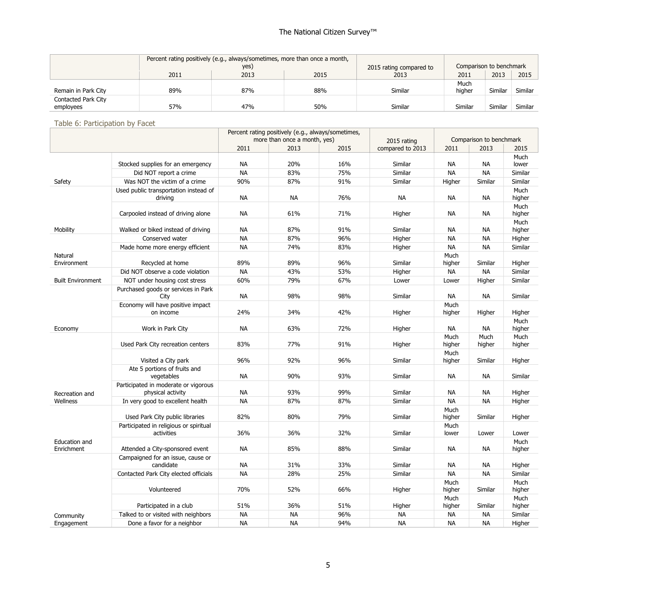|                                  | Percent rating positively (e.g., always/sometimes, more than once a month,<br>yes) |      |      | 2015 rating compared to | Comparison to benchmark |         |         |
|----------------------------------|------------------------------------------------------------------------------------|------|------|-------------------------|-------------------------|---------|---------|
|                                  | 2011                                                                               | 2013 | 2015 | 2013                    | 2011                    | 2013    | 2015    |
|                                  |                                                                                    |      |      |                         | Much                    |         |         |
| Remain in Park City              | 89%                                                                                | 87%  | 88%  | Similar                 | higher                  | Similar | Similar |
| Contacted Park City<br>employees | 57%                                                                                | 47%  | 50%  | Similar                 | Similar                 | Similar | Similar |

Table 6: Participation by Facet

|                          |                                                           | Percent rating positively (e.g., always/sometimes,<br>more than once a month, yes) |           |      |                                 | Comparison to benchmark |                |                |
|--------------------------|-----------------------------------------------------------|------------------------------------------------------------------------------------|-----------|------|---------------------------------|-------------------------|----------------|----------------|
|                          |                                                           | 2011                                                                               | 2013      | 2015 | 2015 rating<br>compared to 2013 | 2011<br>2013            |                | 2015           |
|                          |                                                           |                                                                                    |           |      |                                 |                         |                | Much           |
|                          | Stocked supplies for an emergency                         | <b>NA</b>                                                                          | 20%       | 16%  | Similar                         | NА                      | NА             | lower          |
|                          | Did NOT report a crime                                    | <b>NA</b>                                                                          | 83%       | 75%  | Similar                         | <b>NA</b>               | <b>NA</b>      | Similar        |
| Safety                   | Was NOT the victim of a crime                             | 90%                                                                                | 87%       | 91%  | Similar                         | Higher                  | Similar        | Similar        |
|                          | Used public transportation instead of                     |                                                                                    |           |      |                                 |                         |                | Much           |
|                          | driving                                                   | <b>NA</b>                                                                          | <b>NA</b> | 76%  | NА                              | NА                      | NА             | higher         |
|                          | Carpooled instead of driving alone                        | <b>NA</b>                                                                          | 61%       | 71%  | Higher                          | <b>NA</b>               | <b>NA</b>      | Much<br>higher |
|                          |                                                           |                                                                                    |           |      |                                 |                         |                | Much           |
| Mobility                 | Walked or biked instead of driving                        | <b>NA</b>                                                                          | 87%       | 91%  | Similar                         | NА                      | NА             | higher         |
|                          | Conserved water                                           | <b>NA</b>                                                                          | 87%       | 96%  | Higher                          | <b>NA</b>               | <b>NA</b>      | Higher         |
|                          | Made home more energy efficient                           | <b>NA</b>                                                                          | 74%       | 83%  | Higher                          | <b>NA</b>               | <b>NA</b>      | Similar        |
| Natural<br>Environment   | Recycled at home                                          | 89%                                                                                | 89%       | 96%  | Similar                         | Much<br>higher          | Similar        | Higher         |
|                          | Did NOT observe a code violation                          | <b>NA</b>                                                                          | 43%       | 53%  | Higher                          | NА                      | <b>NA</b>      | Similar        |
| <b>Built Environment</b> | NOT under housing cost stress                             | 60%                                                                                | 79%       | 67%  | Lower                           | Lower                   | Higher         | Similar        |
|                          | Purchased goods or services in Park                       |                                                                                    |           |      |                                 |                         |                |                |
|                          | City                                                      | <b>NA</b>                                                                          | 98%       | 98%  | Similar                         | NА                      | NА             | Similar        |
|                          | Economy will have positive impact<br>on income            | 24%                                                                                | 34%       | 42%  | Higher                          | Much<br>higher          | Higher         | Higher         |
|                          |                                                           |                                                                                    |           |      |                                 |                         |                | Much           |
| Economy                  | Work in Park City                                         | <b>NA</b>                                                                          | 63%       | 72%  | Higher                          | NА                      | NА             | higher         |
|                          | Used Park City recreation centers                         | 83%                                                                                | 77%       | 91%  | Higher                          | Much<br>higher          | Much<br>higher | Much<br>higher |
|                          | Visited a City park                                       | 96%                                                                                | 92%       | 96%  | Similar                         | Much<br>higher          | Similar        | Higher         |
|                          | Ate 5 portions of fruits and<br>vegetables                | <b>NA</b>                                                                          | 90%       | 93%  | Similar                         | <b>NA</b>               | <b>NA</b>      | Similar        |
| Recreation and           | Participated in moderate or vigorous<br>physical activity | <b>NA</b>                                                                          | 93%       | 99%  | Similar                         | NА                      | NА             | Higher         |
| Wellness                 | In very good to excellent health                          | <b>NA</b>                                                                          | 87%       | 87%  | Similar                         | <b>NA</b>               | <b>NA</b>      | Higher         |
|                          | Used Park City public libraries                           | 82%                                                                                | 80%       | 79%  | Similar                         | Much<br>higher          | Similar        | Higher         |
|                          | Participated in religious or spiritual                    |                                                                                    |           |      |                                 | Much                    |                |                |
|                          | activities                                                | 36%                                                                                | 36%       | 32%  | Similar                         | lower                   | Lower          | Lower          |
| Education and            |                                                           |                                                                                    |           |      |                                 |                         |                | Much           |
| Enrichment               | Attended a City-sponsored event                           | <b>NA</b>                                                                          | 85%       | 88%  | Similar                         | <b>NA</b>               | <b>NA</b>      | higher         |
|                          | Campaigned for an issue, cause or                         |                                                                                    |           |      |                                 |                         |                |                |
|                          | candidate                                                 | <b>NA</b>                                                                          | 31%       | 33%  | Similar                         | <b>NA</b>               | <b>NA</b>      | Higher         |
|                          | Contacted Park City elected officials                     | <b>NA</b>                                                                          | 28%       | 25%  | Similar                         | NA                      | <b>NA</b>      | Similar        |
|                          | Volunteered                                               | 70%                                                                                | 52%       | 66%  | Higher                          | Much<br>higher          | Similar        | Much<br>higher |
|                          |                                                           |                                                                                    |           |      |                                 | Much                    |                | Much           |
|                          | Participated in a club                                    | 51%                                                                                | 36%       | 51%  | Higher                          | higher                  | Similar        | higher         |
| Community                | Talked to or visited with neighbors                       | <b>NA</b>                                                                          | <b>NA</b> | 96%  | NА                              | NA                      | <b>NA</b>      | Similar        |
| Engagement               | Done a favor for a neighbor                               | <b>NA</b>                                                                          | <b>NA</b> | 94%  | <b>NA</b>                       | <b>NA</b>               | <b>NA</b>      | Higher         |